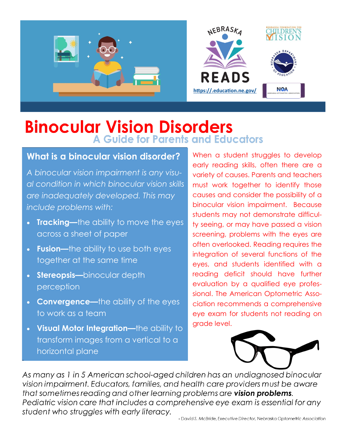

## **Binocular Vision Disorders A Guide for Parents and Educators**

#### **What is a binocular vision disorder?**

*A binocular vision impairment is any visual condition in which binocular vision skills are inadequately developed. This may include problems with:* 

- **Tracking—**the ability to move the eyes across a sheet of paper
- **Fusion—**the ability to use both eyes together at the same time
- **Stereopsis—**binocular depth perception
- **Convergence—**the ability of the eyes to work as a team
- **Visual Motor Integration—**the ability to transform images from a vertical to a horizontal plane

When a student struggles to develop early reading skills, often there are a variety of causes. Parents and teachers must work together to identify those causes and consider the possibility of a binocular vision impairment. Because students may not demonstrate difficulty seeing, or may have passed a vision screening, problems with the eyes are often overlooked. Reading requires the integration of several functions of the eyes, and students identified with a reading deficit should have further evaluation by a qualified eye professional. The American Optometric Association recommends a comprehensive eye exam for students not reading on grade level.



As many as 1 in 5 American school-aged children has an undiagnosed binocular vision impairment. Educators, families, and health care providers must be aware that sometimes reading and other learning problems are vision problems. Pediatric vision care that includes a comprehensive eye exam is essential for any student who struggles with early literacy.